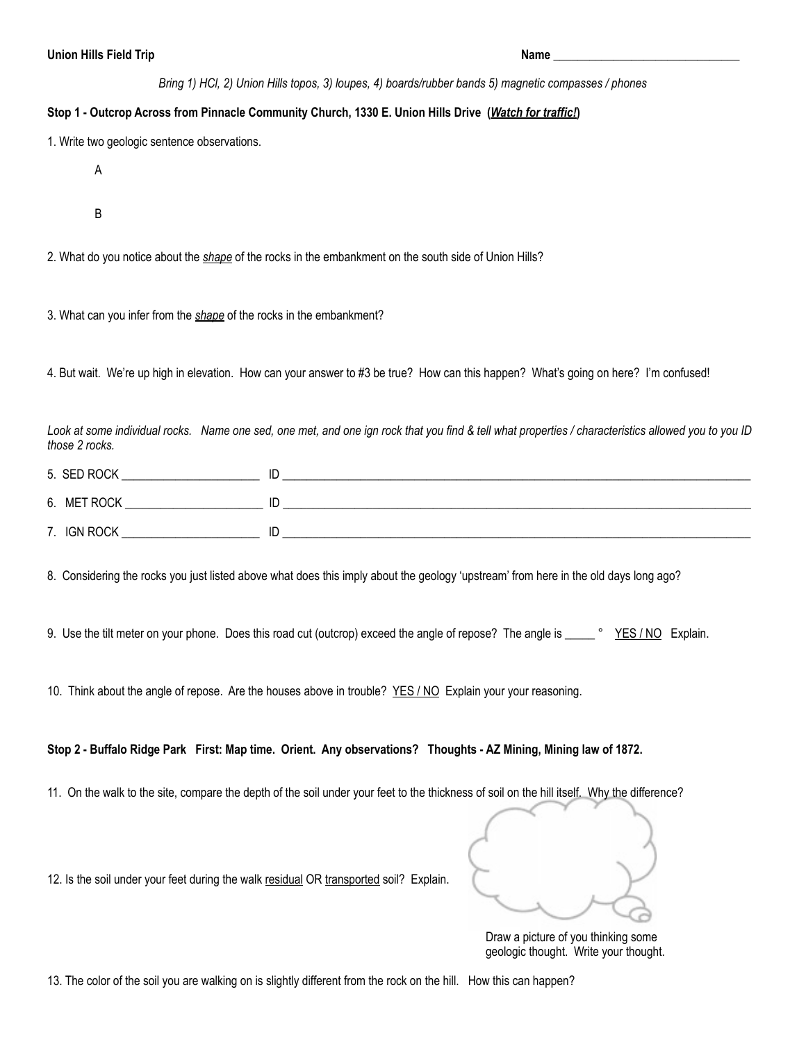*Bring 1) HCl, 2) Union Hills topos, 3) loupes, 4) boards/rubber bands 5) magnetic compasses / phones*

## **Stop 1 - Outcrop Across from Pinnacle Community Church, 1330 E. Union Hills Drive (***Watch for traffic!***)**

1. Write two geologic sentence observations.

- A
- B

2. What do you notice about the *shape* of the rocks in the embankment on the south side of Union Hills?

3. What can you infer from the *shape* of the rocks in the embankment?

4. But wait. We're up high in elevation. How can your answer to #3 be true? How can this happen? What's going on here? I'm confused!

*Look at some individual rocks. Name one sed, one met, and one ign rock that you find & tell what properties / characteristics allowed you to you ID those 2 rocks.* 

| 5. SED ROCK |    |  |
|-------------|----|--|
| 6. MET ROCK | ID |  |
| 7. IGN ROCK | ID |  |

8. Considering the rocks you just listed above what does this imply about the geology 'upstream' from here in the old days long ago?

9. Use the tilt meter on your phone. Does this road cut (outcrop) exceed the angle of repose? The angle is \_\_\_\_\_ ° YES/NO Explain.

10. Think about the angle of repose. Are the houses above in trouble? YES / NO Explain your your reasoning.

## **Stop 2 - Buffalo Ridge Park First: Map time. Orient. Any observations? Thoughts - AZ Mining, Mining law of 1872.**

11. On the walk to the site, compare the depth of the soil under your feet to the thickness of soil on the hill itself. Why the difference?

12. Is the soil under your feet during the walk residual OR transported soil? Explain.

 Draw a picture of you thinking some geologic thought. Write your thought.

13. The color of the soil you are walking on is slightly different from the rock on the hill. How this can happen?